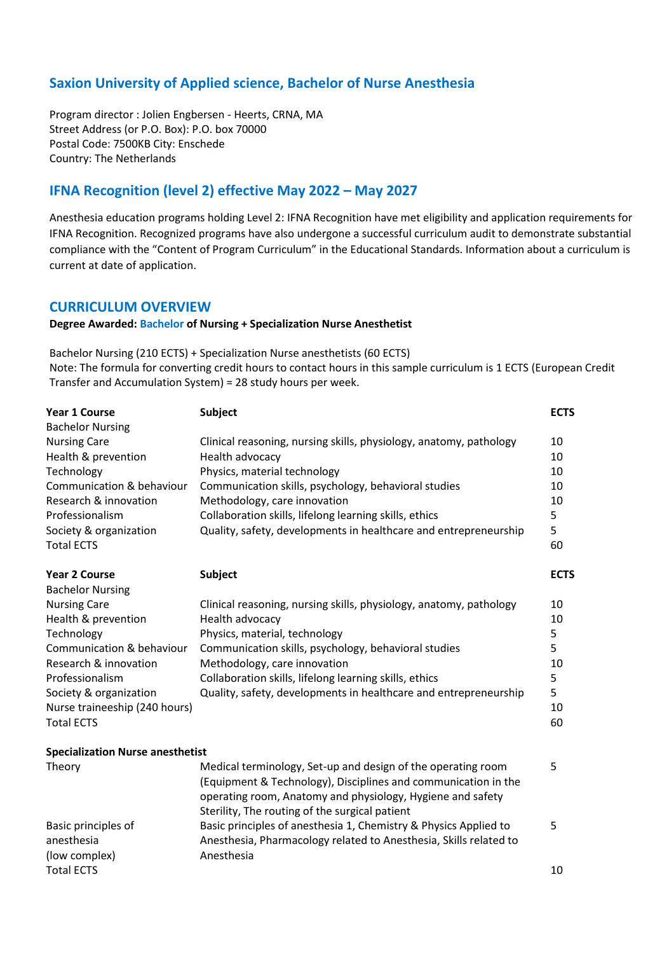## **Saxion University of Applied science, Bachelor of Nurse Anesthesia**

Program director : Jolien Engbersen - Heerts, CRNA, MA Street Address (or P.O. Box): P.O. box 70000 Postal Code: 7500KB City: Enschede Country: The Netherlands

## **IFNA Recognition (level 2) effective May 2022 – May 2027**

Anesthesia education programs holding Level 2: IFNA Recognition have met eligibility and application requirements for IFNA Recognition. Recognized programs have also undergone a successful curriculum audit to demonstrate substantial compliance with the "Content of Program Curriculum" in the Educational Standards. Information about a curriculum is current at date of application.

## **CURRICULUM OVERVIEW**

## **Degree Awarded: Bachelor of Nursing + Specialization Nurse Anesthetist**

Bachelor Nursing (210 ECTS) + Specialization Nurse anesthetists (60 ECTS) Note: The formula for converting credit hours to contact hours in this sample curriculum is 1 ECTS (European Credit Transfer and Accumulation System) = 28 study hours per week.

| <b>Year 1 Course</b><br><b>Bachelor Nursing</b>    | <b>Subject</b>                                                                                                                                                                                                                                 | <b>ECTS</b> |
|----------------------------------------------------|------------------------------------------------------------------------------------------------------------------------------------------------------------------------------------------------------------------------------------------------|-------------|
| <b>Nursing Care</b>                                | Clinical reasoning, nursing skills, physiology, anatomy, pathology                                                                                                                                                                             | 10          |
| Health & prevention                                | Health advocacy                                                                                                                                                                                                                                | 10          |
| Technology                                         | Physics, material technology                                                                                                                                                                                                                   | 10          |
| Communication & behaviour                          | Communication skills, psychology, behavioral studies                                                                                                                                                                                           | 10          |
| Research & innovation                              | Methodology, care innovation                                                                                                                                                                                                                   | 10          |
| Professionalism                                    | Collaboration skills, lifelong learning skills, ethics                                                                                                                                                                                         | 5           |
| Society & organization                             | Quality, safety, developments in healthcare and entrepreneurship                                                                                                                                                                               | 5           |
| <b>Total ECTS</b>                                  |                                                                                                                                                                                                                                                | 60          |
| <b>Year 2 Course</b><br><b>Bachelor Nursing</b>    | <b>Subject</b>                                                                                                                                                                                                                                 | <b>ECTS</b> |
| <b>Nursing Care</b>                                | Clinical reasoning, nursing skills, physiology, anatomy, pathology                                                                                                                                                                             | 10          |
| Health & prevention                                | Health advocacy                                                                                                                                                                                                                                | 10          |
| Technology                                         | Physics, material, technology                                                                                                                                                                                                                  | 5           |
| Communication & behaviour                          | Communication skills, psychology, behavioral studies                                                                                                                                                                                           | 5           |
| Research & innovation                              | Methodology, care innovation                                                                                                                                                                                                                   | 10          |
| Professionalism                                    | Collaboration skills, lifelong learning skills, ethics                                                                                                                                                                                         | 5           |
| Society & organization                             | Quality, safety, developments in healthcare and entrepreneurship                                                                                                                                                                               | 5           |
| Nurse traineeship (240 hours)                      |                                                                                                                                                                                                                                                | 10          |
| <b>Total ECTS</b>                                  |                                                                                                                                                                                                                                                | 60          |
| <b>Specialization Nurse anesthetist</b>            |                                                                                                                                                                                                                                                |             |
| Theory                                             | Medical terminology, Set-up and design of the operating room<br>(Equipment & Technology), Disciplines and communication in the<br>operating room, Anatomy and physiology, Hygiene and safety<br>Sterility, The routing of the surgical patient | 5           |
| Basic principles of<br>anesthesia<br>(low complex) | Basic principles of anesthesia 1, Chemistry & Physics Applied to<br>Anesthesia, Pharmacology related to Anesthesia, Skills related to<br>Anesthesia                                                                                            | 5           |

Total ECTS and the state of the state of the state of the state of the state of the state of the state of the state of the state of the state of the state of the state of the state of the state of the state of the state of